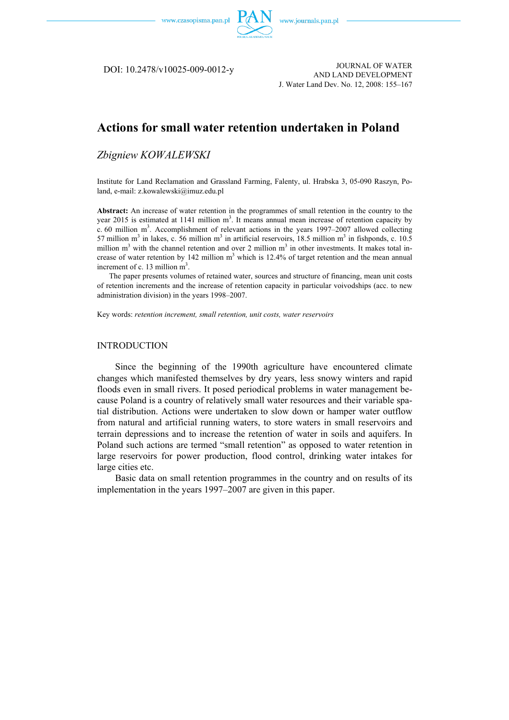

DOI: 10.2478/v10025-009-0012-y

JOURNAL OF WATER AND LAND DEVELOPMENT J. Water Land Dev. No. 12, 2008: 155–167

# **Actions for small water retention undertaken in Poland**

## *Zbigniew KOWALEWSKI*

Institute for Land Reclamation and Grassland Farming, Falenty, ul. Hrabska 3, 05-090 Raszyn, Poland, e-mail: z.kowalewski@imuz.edu.pl

**Abstract:** An increase of water retention in the programmes of small retention in the country to the year 2015 is estimated at 1141 million  $m<sup>3</sup>$ . It means annual mean increase of retention capacity by c. 60 million m<sup>3</sup>. Accomplishment of relevant actions in the years 1997–2007 allowed collecting 57 million m<sup>3</sup> in lakes, c. 56 million m<sup>3</sup> in artificial reservoirs, 18.5 million m<sup>3</sup> in fishponds, c. 10.5 million  $m<sup>3</sup>$  with the channel retention and over 2 million  $m<sup>3</sup>$  in other investments. It makes total increase of water retention by 142 million  $m<sup>3</sup>$  which is 12.4% of target retention and the mean annual increment of c. 13 million m<sup>3</sup>.

The paper presents volumes of retained water, sources and structure of financing, mean unit costs of retention increments and the increase of retention capacity in particular voivodships (acc. to new administration division) in the years 1998–2007.

Key words: *retention increment, small retention, unit costs, water reservoirs* 

#### **INTRODUCTION**

Since the beginning of the 1990th agriculture have encountered climate changes which manifested themselves by dry years, less snowy winters and rapid floods even in small rivers. It posed periodical problems in water management because Poland is a country of relatively small water resources and their variable spatial distribution. Actions were undertaken to slow down or hamper water outflow from natural and artificial running waters, to store waters in small reservoirs and terrain depressions and to increase the retention of water in soils and aquifers. In Poland such actions are termed "small retention" as opposed to water retention in large reservoirs for power production, flood control, drinking water intakes for large cities etc.

Basic data on small retention programmes in the country and on results of its implementation in the years 1997–2007 are given in this paper.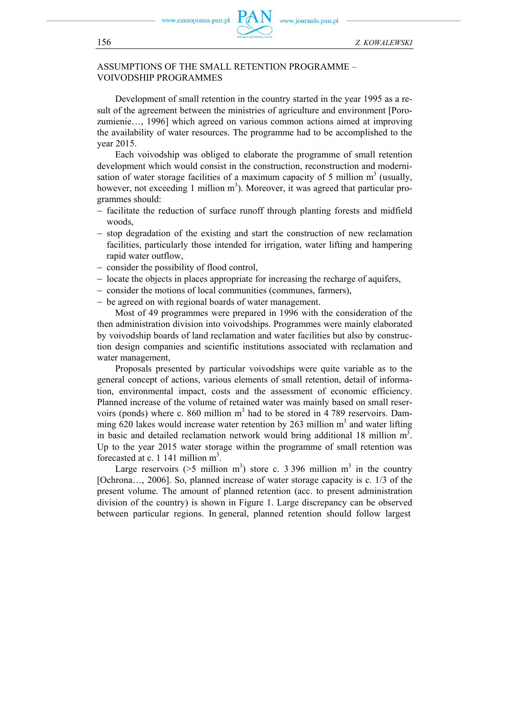czasopisma.pan.pl



## ASSUMPTIONS OF THE SMALL RETENTION PROGRAMME – VOIVODSHIP PROGRAMMES

Development of small retention in the country started in the year 1995 as a result of the agreement between the ministries of agriculture and environment [Porozumienie…, 1996] which agreed on various common actions aimed at improving the availability of water resources. The programme had to be accomplished to the year 2015.

Each voivodship was obliged to elaborate the programme of small retention development which would consist in the construction, reconstruction and modernisation of water storage facilities of a maximum capacity of 5 million  $m<sup>3</sup>$  (usually, however, not exceeding 1 million  $m<sup>3</sup>$ ). Moreover, it was agreed that particular programmes should:

- − facilitate the reduction of surface runoff through planting forests and midfield woods,
- − stop degradation of the existing and start the construction of new reclamation facilities, particularly those intended for irrigation, water lifting and hampering rapid water outflow,
- − consider the possibility of flood control,
- − locate the objects in places appropriate for increasing the recharge of aquifers,
- − consider the motions of local communities (communes, farmers),
- − be agreed on with regional boards of water management.

Most of 49 programmes were prepared in 1996 with the consideration of the then administration division into voivodships. Programmes were mainly elaborated by voivodship boards of land reclamation and water facilities but also by construction design companies and scientific institutions associated with reclamation and water management,

Proposals presented by particular voivodships were quite variable as to the general concept of actions, various elements of small retention, detail of information, environmental impact, costs and the assessment of economic efficiency. Planned increase of the volume of retained water was mainly based on small reservoirs (ponds) where c. 860 million  $m<sup>3</sup>$  had to be stored in 4 789 reservoirs. Damming  $620$  lakes would increase water retention by 263 million  $m<sup>3</sup>$  and water lifting in basic and detailed reclamation network would bring additional 18 million  $m<sup>3</sup>$ . Up to the year 2015 water storage within the programme of small retention was forecasted at c. 1 141 million  $m^3$ .

Large reservoirs ( $>5$  million m<sup>3</sup>) store c. 3 396 million m<sup>3</sup> in the country [Ochrona..., 2006]. So, planned increase of water storage capacity is c. 1/3 of the present volume. The amount of planned retention (acc. to present administration division of the country) is shown in Figure 1. Large discrepancy can be observed between particular regions. In general, planned retention should follow largest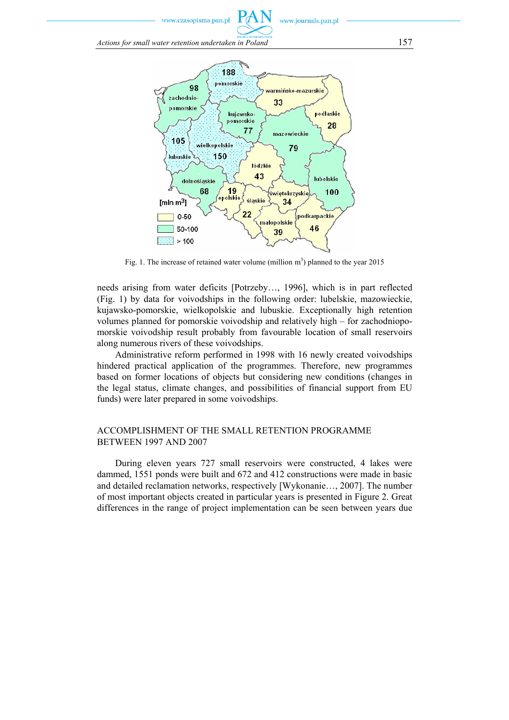*Actions for small water retention undertaken in Poland* 157



Fig. 1. The increase of retained water volume (million  $m<sup>3</sup>$ ) planned to the year 2015

needs arising from water deficits [Potrzeby…, 1996], which is in part reflected (Fig. 1) by data for voivodships in the following order: lubelskie, mazowieckie, kujawsko-pomorskie, wielkopolskie and lubuskie. Exceptionally high retention volumes planned for pomorskie voivodship and relatively high – for zachodniopomorskie voivodship result probably from favourable location of small reservoirs along numerous rivers of these voivodships.

Administrative reform performed in 1998 with 16 newly created voivodships hindered practical application of the programmes. Therefore, new programmes based on former locations of objects but considering new conditions (changes in the legal status, climate changes, and possibilities of financial support from EU funds) were later prepared in some voivodships.

### ACCOMPLISHMENT OF THE SMALL RETENTION PROGRAMME BETWEEN 1997 AND 2007

During eleven years 727 small reservoirs were constructed, 4 lakes were dammed, 1551 ponds were built and 672 and 412 constructions were made in basic and detailed reclamation networks, respectively [Wykonanie…, 2007]. The number of most important objects created in particular years is presented in Figure 2. Great differences in the range of project implementation can be seen between years due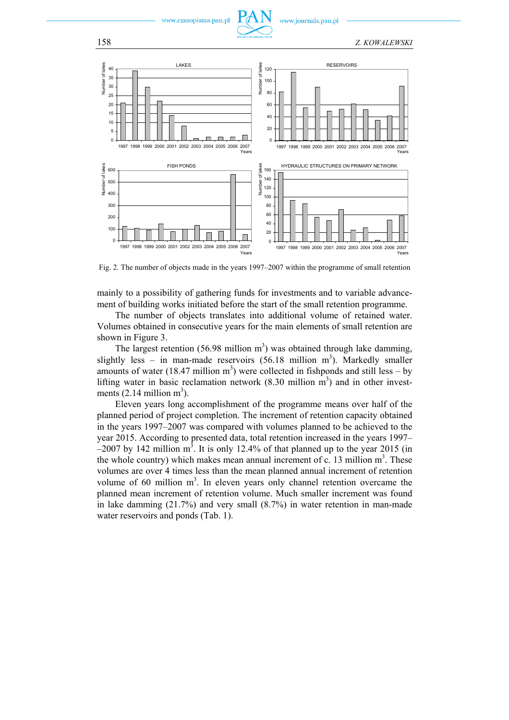

158 *Z. KOWALEWSKI* 



Fig. 2. The number of objects made in the years 1997–2007 within the programme of small retention

mainly to a possibility of gathering funds for investments and to variable advancement of building works initiated before the start of the small retention programme.

The number of objects translates into additional volume of retained water. Volumes obtained in consecutive years for the main elements of small retention are shown in Figure 3.

The largest retention  $(56.98 \text{ million m}^3)$  was obtained through lake damming, slightly less – in man-made reservoirs  $(56.18 \text{ million m}^3)$ . Markedly smaller amounts of water (18.47 million  $m<sup>3</sup>$ ) were collected in fishponds and still less – by lifting water in basic reclamation network  $(8.30 \text{ million m}^3)$  and in other investments  $(2.14 \text{ million m}^3)$ .

Eleven years long accomplishment of the programme means over half of the planned period of project completion. The increment of retention capacity obtained in the years 1997–2007 was compared with volumes planned to be achieved to the year 2015. According to presented data, total retention increased in the years 1997–  $-2007$  by 142 million m<sup>3</sup>. It is only 12.4% of that planned up to the year 2015 (in the whole country) which makes mean annual increment of c. 13 million  $m<sup>3</sup>$ . These volumes are over 4 times less than the mean planned annual increment of retention volume of 60 million  $m<sup>3</sup>$ . In eleven years only channel retention overcame the planned mean increment of retention volume. Much smaller increment was found in lake damming (21.7%) and very small (8.7%) in water retention in man-made water reservoirs and ponds (Tab. 1).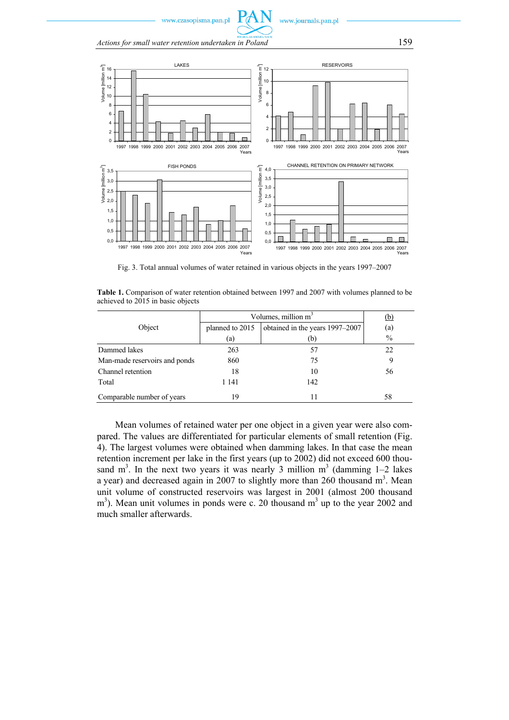

*Actions for small water retention undertaken in Poland* 159



Fig. 3. Total annual volumes of water retained in various objects in the years 1997–2007

**Table 1.** Comparison of water retention obtained between 1997 and 2007 with volumes planned to be achieved to 2015 in basic objects

|                               | Volumes, million $m3$ | (b)                             |               |
|-------------------------------|-----------------------|---------------------------------|---------------|
| Object                        | planned to 2015       | obtained in the years 1997–2007 | (a)           |
|                               | (a)                   | (b)                             | $\frac{0}{0}$ |
| Dammed lakes                  | 263                   | 57                              | 22            |
| Man-made reservoirs and ponds | 860                   | 75                              | 9             |
| Channel retention             | 18                    | 10                              | 56            |
| Total                         | 1 141                 | 142                             |               |
| Comparable number of years    | 19                    | 11                              | 58            |

Mean volumes of retained water per one object in a given year were also compared. The values are differentiated for particular elements of small retention (Fig. 4). The largest volumes were obtained when damming lakes. In that case the mean retention increment per lake in the first years (up to 2002) did not exceed 600 thousand  $m<sup>3</sup>$ . In the next two years it was nearly 3 million  $m<sup>3</sup>$  (damming 1–2 lakes a year) and decreased again in 2007 to slightly more than 260 thousand  $m<sup>3</sup>$ . Mean unit volume of constructed reservoirs was largest in 2001 (almost 200 thousand  $\text{m}^3$ ). Mean unit volumes in ponds were c. 20 thousand  $\text{m}^3$  up to the year 2002 and much smaller afterwards.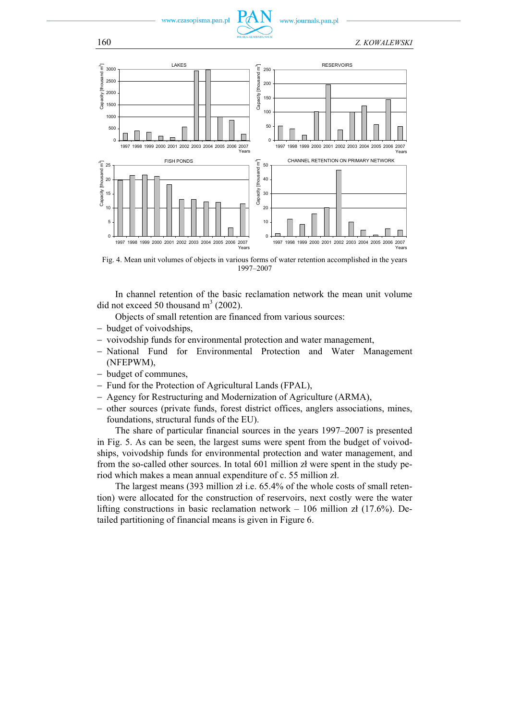

www.journals.pan.pl



Fig. 4. Mean unit volumes of objects in various forms of water retention accomplished in the years 1997–2007

In channel retention of the basic reclamation network the mean unit volume did not exceed 50 thousand  $m<sup>3</sup>$  (2002).

Objects of small retention are financed from various sources:

- − budget of voivodships,
- − voivodship funds for environmental protection and water management,
- − National Fund for Environmental Protection and Water Management (NFEPWM),
- − budget of communes,
- − Fund for the Protection of Agricultural Lands (FPAL),
- − Agency for Restructuring and Modernization of Agriculture (ARMA),
- − other sources (private funds, forest district offices, anglers associations, mines, foundations, structural funds of the EU).

The share of particular financial sources in the years 1997–2007 is presented in Fig. 5. As can be seen, the largest sums were spent from the budget of voivodships, voivodship funds for environmental protection and water management, and from the so-called other sources. In total 601 million zł were spent in the study period which makes a mean annual expenditure of c. 55 million zł.

The largest means (393 million zł i.e. 65.4% of the whole costs of small retention) were allocated for the construction of reservoirs, next costly were the water lifting constructions in basic reclamation network – 106 million zł (17.6%). Detailed partitioning of financial means is given in Figure 6.

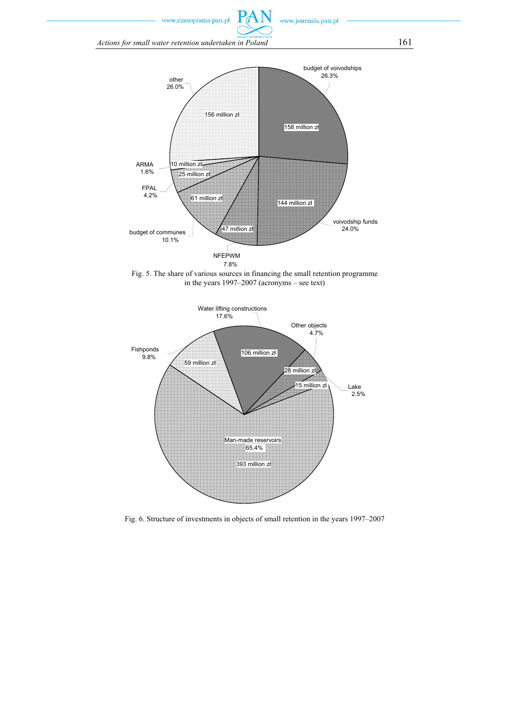*Actions for small water retention undertaken in Poland* 161



P

Fig. 5. The share of various sources in financing the small retention programme in the years 1997–2007 (acronyms – see text)



Fig. 6. Structure of investments in objects of small retention in the years 1997–2007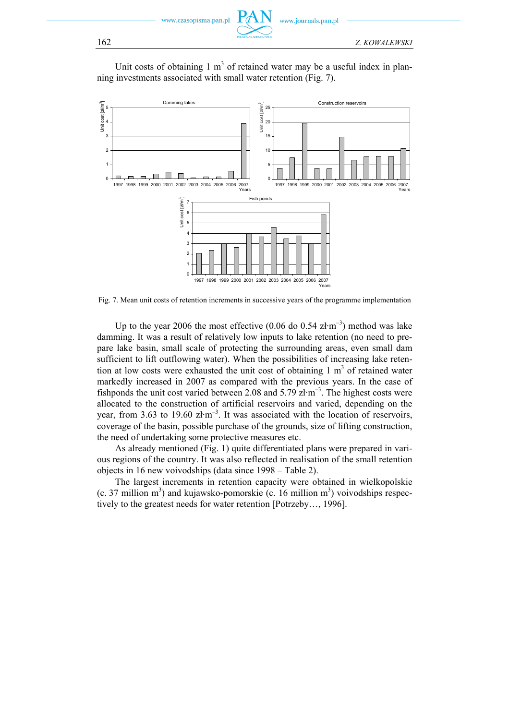vw czasonisma nan nl



ww.journals.pan.pl

Unit costs of obtaining  $1 \text{ m}^3$  of retained water may be a useful index in planning investments associated with small water retention (Fig. 7).



Fig. 7. Mean unit costs of retention increments in successive years of the programme implementation

Up to the year 2006 the most effective  $(0.06 \text{ do } 0.54 \text{ zt} \cdot \text{m}^{-3})$  method was lake damming. It was a result of relatively low inputs to lake retention (no need to prepare lake basin, small scale of protecting the surrounding areas, even small dam sufficient to lift outflowing water). When the possibilities of increasing lake retention at low costs were exhausted the unit cost of obtaining  $1 \text{ m}^3$  of retained water markedly increased in 2007 as compared with the previous years. In the case of fishponds the unit cost varied between 2.08 and 5.79 zł·m–3. The highest costs were allocated to the construction of artificial reservoirs and varied, depending on the year, from 3.63 to 19.60  $z/m^{-3}$ . It was associated with the location of reservoirs, coverage of the basin, possible purchase of the grounds, size of lifting construction, the need of undertaking some protective measures etc.

As already mentioned (Fig. 1) quite differentiated plans were prepared in various regions of the country. It was also reflected in realisation of the small retention objects in 16 new voivodships (data since 1998 – Table 2).

The largest increments in retention capacity were obtained in wielkopolskie  $(c. 37$  million m<sup>3</sup>) and kujawsko-pomorskie  $(c. 16$  million m<sup>3</sup>) voivodships respectively to the greatest needs for water retention [Potrzeby…, 1996].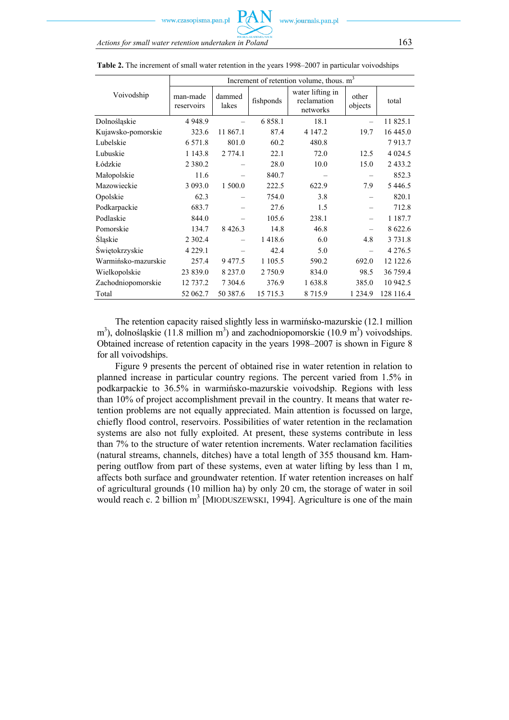|                     | Increment of retention volume, thous. m <sup>3</sup> |                 |            |                                             |                  |             |  |
|---------------------|------------------------------------------------------|-----------------|------------|---------------------------------------------|------------------|-------------|--|
| Voivodship          | man-made<br>reservoirs                               | dammed<br>lakes | fishponds  | water lifting in<br>reclamation<br>networks | other<br>objects | total       |  |
| Dolnośląskie        | 4 9 4 8 .9                                           |                 | 6 8 5 8 .1 | 18.1                                        |                  | 11 825.1    |  |
| Kujawsko-pomorskie  | 323.6                                                | 11 867.1        | 87.4       | 4 147.2                                     | 19.7             | 16 445.0    |  |
| Lubelskie           | 6 5 7 1 .8                                           | 801.0           | 60.2       | 480.8                                       |                  | 7913.7      |  |
| Lubuskie            | 1 1 4 3 .8                                           | 2 7 7 4 .1      | 22.1       | 72.0                                        | 12.5             | 4 0 24.5    |  |
| Łódzkie             | 2 3 8 0 . 2                                          |                 | 28.0       | 10.0                                        | 15.0             | 2433.2      |  |
| Małopolskie         | 11.6                                                 |                 | 840.7      |                                             |                  | 852.3       |  |
| Mazowieckie         | 3 0 9 3 .0                                           | 1 500.0         | 222.5      | 622.9                                       | 7.9              | 5 4 4 6 .5  |  |
| Opolskie            | 62.3                                                 |                 | 754.0      | 3.8                                         |                  | 820.1       |  |
| Podkarpackie        | 683.7                                                |                 | 27.6       | 1.5                                         |                  | 712.8       |  |
| Podlaskie           | 844.0                                                |                 | 105.6      | 238.1                                       |                  | 1 1 8 7 . 7 |  |
| Pomorskie           | 134.7                                                | 8 4 2 6 .3      | 14.8       | 46.8                                        |                  | 8 622.6     |  |
| <b>Sląskie</b>      | 2 3 0 2.4                                            |                 | 1418.6     | 6.0                                         | 4.8              | 3 7 3 1 .8  |  |
| Świętokrzyskie      | 4 2 2 9 .1                                           |                 | 42.4       | 5.0                                         |                  | 4 2 7 6 .5  |  |
| Warmińsko-mazurskie | 257.4                                                | 9477.5          | 1 105.5    | 590.2                                       | 692.0            | 12 122.6    |  |
| Wielkopolskie       | 23 839.0                                             | 8 2 3 7 .0      | 2 7 5 0.9  | 834.0                                       | 98.5             | 36 759.4    |  |
| Zachodniopomorskie  | 12 737.2                                             | 7 3 0 4 . 6     | 376.9      | 1638.8                                      | 385.0            | 10 942.5    |  |
| Total               | 52 062.7                                             | 50 387.6        | 15 715.3   | 8 7 1 5 .9                                  | 1 2 3 4 .9       | 128 116.4   |  |

**Table 2.** The increment of small water retention in the years 1998–2007 in particular voivodships

The retention capacity raised slightly less in warmińsko-mazurskie (12.1 million  $\text{m}^3$ ), dolnośląskie (11.8 million m<sup>3</sup>) and zachodniopomorskie (10.9 m<sup>3</sup>) voivodships. Obtained increase of retention capacity in the years 1998–2007 is shown in Figure 8 for all voivodships.

Figure 9 presents the percent of obtained rise in water retention in relation to planned increase in particular country regions. The percent varied from 1.5% in podkarpackie to 36.5% in warmińsko-mazurskie voivodship. Regions with less than 10% of project accomplishment prevail in the country. It means that water retention problems are not equally appreciated. Main attention is focussed on large, chiefly flood control, reservoirs. Possibilities of water retention in the reclamation systems are also not fully exploited. At present, these systems contribute in less than 7% to the structure of water retention increments. Water reclamation facilities (natural streams, channels, ditches) have a total length of 355 thousand km. Hampering outflow from part of these systems, even at water lifting by less than 1 m, affects both surface and groundwater retention. If water retention increases on half of agricultural grounds (10 million ha) by only 20 cm, the storage of water in soil would reach c. 2 billion m<sup>3</sup> [MIODUSZEWSKI, 1994]. Agriculture is one of the main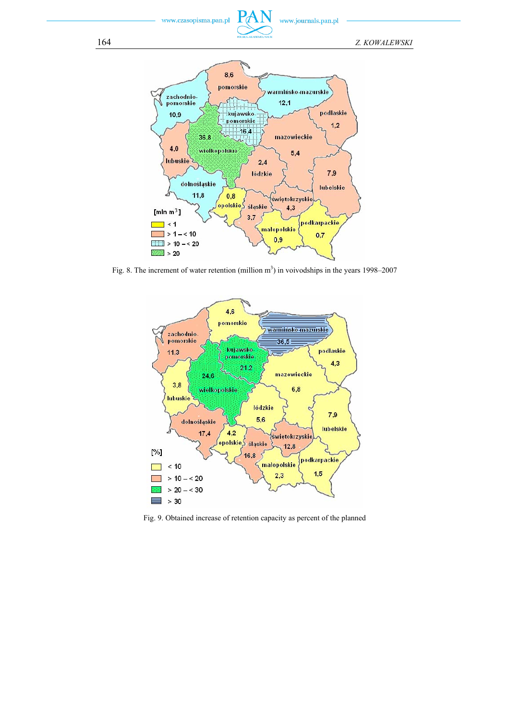



Fig. 8. The increment of water retention (million  $m<sup>3</sup>$ ) in voivodships in the years 1998–2007



Fig. 9. Obtained increase of retention capacity as percent of the planned

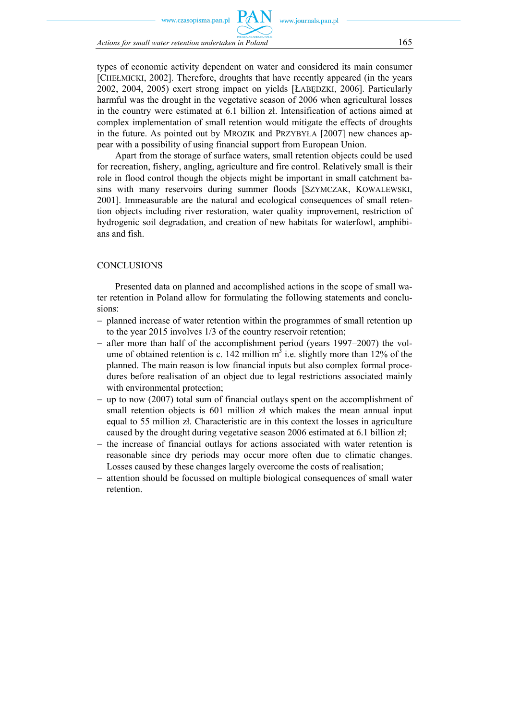zasonisma nan nl

*Actions for small water retention undertaken in Poland* 165

types of economic activity dependent on water and considered its main consumer [CHEŁMICKI, 2002]. Therefore, droughts that have recently appeared (in the years 2002, 2004, 2005) exert strong impact on yields [ŁABĘDZKI, 2006]. Particularly harmful was the drought in the vegetative season of 2006 when agricultural losses in the country were estimated at 6.1 billion zł. Intensification of actions aimed at complex implementation of small retention would mitigate the effects of droughts in the future. As pointed out by MROZIK and PRZYBYŁA [2007] new chances appear with a possibility of using financial support from European Union.

Apart from the storage of surface waters, small retention objects could be used for recreation, fishery, angling, agriculture and fire control. Relatively small is their role in flood control though the objects might be important in small catchment basins with many reservoirs during summer floods [SZYMCZAK, KOWALEWSKI, 2001]. Immeasurable are the natural and ecological consequences of small retention objects including river restoration, water quality improvement, restriction of hydrogenic soil degradation, and creation of new habitats for waterfowl, amphibians and fish.

#### CONCLUSIONS

Presented data on planned and accomplished actions in the scope of small water retention in Poland allow for formulating the following statements and conclusions:

- − planned increase of water retention within the programmes of small retention up to the year 2015 involves 1/3 of the country reservoir retention;
- − after more than half of the accomplishment period (years 1997–2007) the volume of obtained retention is c. 142 million  $m<sup>3</sup>$  i.e. slightly more than 12% of the planned. The main reason is low financial inputs but also complex formal procedures before realisation of an object due to legal restrictions associated mainly with environmental protection;
- − up to now (2007) total sum of financial outlays spent on the accomplishment of small retention objects is 601 million zł which makes the mean annual input equal to 55 million zł. Characteristic are in this context the losses in agriculture caused by the drought during vegetative season 2006 estimated at 6.1 billion zł;
- − the increase of financial outlays for actions associated with water retention is reasonable since dry periods may occur more often due to climatic changes. Losses caused by these changes largely overcome the costs of realisation;
- − attention should be focussed on multiple biological consequences of small water retention.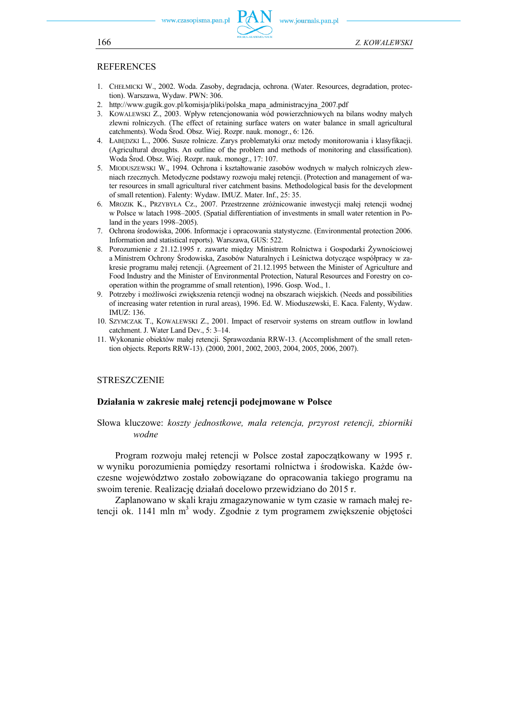

### REFERENCES

- 1. CHEŁMICKI W., 2002. Woda. Zasoby, degradacja, ochrona. (Water. Resources, degradation, protection). Warszawa, Wydaw. PWN: 306.
- 2. http://www.gugik.gov.pl/komisja/pliki/polska\_mapa\_administracyjna\_2007.pdf
- 3. KOWALEWSKI Z., 2003. Wpływ retencjonowania wód powierzchniowych na bilans wodny małych zlewni rolniczych. (The effect of retaining surface waters on water balance in small agricultural catchments). Woda Środ. Obsz. Wiej. Rozpr. nauk. monogr., 6: 126.
- 4. ŁABĘDZKI L., 2006. Susze rolnicze. Zarys problematyki oraz metody monitorowania i klasyfikacji. (Agricultural droughts. An outline of the problem and methods of monitoring and classification). Woda Środ. Obsz. Wiej. Rozpr. nauk. monogr., 17: 107.
- 5. MIODUSZEWSKI W., 1994. Ochrona i kształtowanie zasobów wodnych w małych rolniczych zlewniach rzecznych. Metodyczne podstawy rozwoju małej retencji. (Protection and management of water resources in small agricultural river catchment basins. Methodological basis for the development of small retention). Falenty: Wydaw. IMUZ. Mater. Inf., 25: 35.
- 6. MROZIK K., PRZYBYŁA Cz., 2007. Przestrzenne zróżnicowanie inwestycji małej retencji wodnej w Polsce w latach 1998–2005. (Spatial differentiation of investments in small water retention in Poland in the years 1998–2005).
- 7. Ochrona środowiska, 2006. Informacje i opracowania statystyczne. (Environmental protection 2006. Information and statistical reports). Warszawa, GUS: 522.
- 8. Porozumienie z 21.12.1995 r. zawarte między Ministrem Rolnictwa i Gospodarki Żywnościowej a Ministrem Ochrony Środowiska, Zasobów Naturalnych i Leśnictwa dotyczące współpracy w zakresie programu małej retencji. (Agreement of 21.12.1995 between the Minister of Agriculture and Food Industry and the Minister of Environmental Protection, Natural Resources and Forestry on cooperation within the programme of small retention), 1996. Gosp. Wod., 1.
- 9. Potrzeby i możliwości zwiększenia retencji wodnej na obszarach wiejskich. (Needs and possibilities of increasing water retention in rural areas), 1996. Ed. W. Mioduszewski, E. Kaca. Falenty, Wydaw. IMUZ: 136.
- 10. SZYMCZAK T., KOWALEWSKI Z., 2001. Impact of reservoir systems on stream outflow in lowland catchment. J. Water Land Dev., 5: 3–14.
- 11. Wykonanie obiektów małej retencji. Sprawozdania RRW-13. (Accomplishment of the small retention objects. Reports RRW-13). (2000, 2001, 2002, 2003, 2004, 2005, 2006, 2007).

#### **STRESZCZENIE**

#### **Działania w zakresie małej retencji podejmowane w Polsce**

Słowa kluczowe: *koszty jednostkowe, mała retencja, przyrost retencji, zbiorniki wodne*

Program rozwoju małej retencji w Polsce został zapoczątkowany w 1995 r. w wyniku porozumienia pomiędzy resortami rolnictwa i środowiska. Każde ówczesne województwo zostało zobowiązane do opracowania takiego programu na swoim terenie. Realizację działań docelowo przewidziano do 2015 r.

Zaplanowano w skali kraju zmagazynowanie w tym czasie w ramach małej retencji ok. 1141 mln m<sup>3</sup> wody. Zgodnie z tym programem zwiększenie objętości